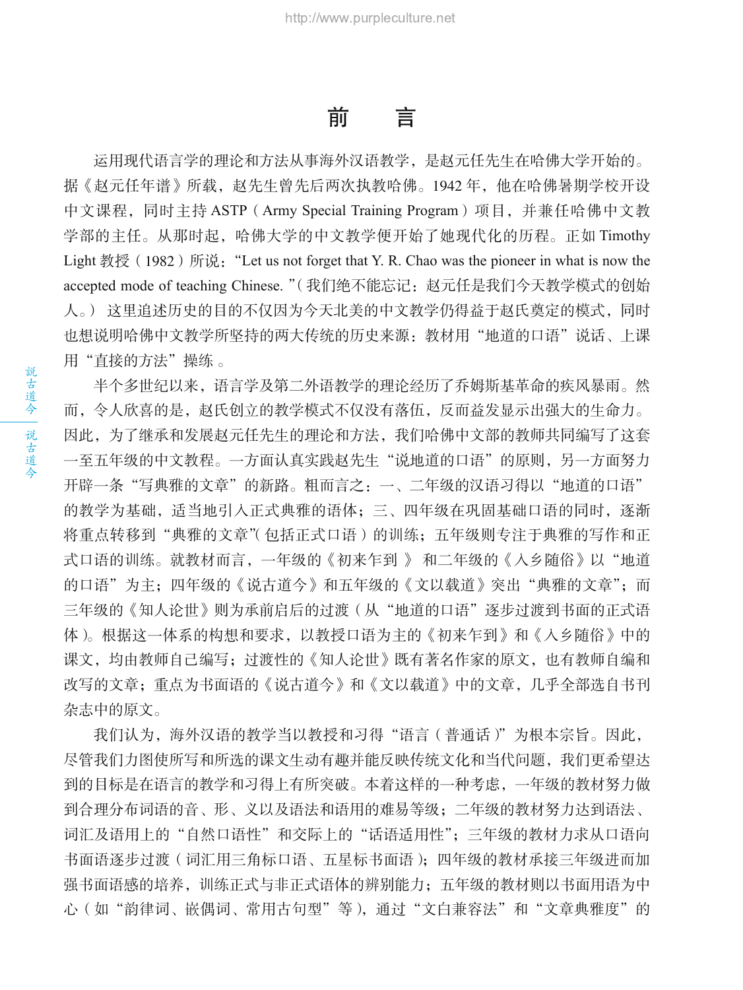### こんじょう 前につき

运用现代语言学的理论和方法从事海外汉语教学,是赵元任先生在哈佛大学开始的。 据《赵元任年谱》所载,赵先生曾先后两次执教哈佛。1942 年,他在哈佛暑期学校开设 中文课程,同时主持 ASTP (Army Special Training Program)项目,并兼任哈佛中文教 学部的主任。从那时起,哈佛大学的中文教学便开始了她现代化的历程。正如 Timothy Light 教授 (1982) 所说: "Let us not forget that Y. R. Chao was the pioneer in what is now the accepted mode of teaching Chinese. "(我们绝不能忘记:赵元任是我们今天教学模式的创始 人。) 这里追述历史的目的不仅因为今天北美的中文教学仍得益于赵氏奠定的模式,同时 也想说明哈佛中文教学所坚持的两大传统的历史来源: 教材用"地道的口语"说话、上课 用"直接的方法"操练 。

半个多世纪以来,语言学及第二外语教学的理论经历了乔姆斯基革命的疾风暴雨。然 而,令人欣喜的是,赵氏创立的教学模式不仅没有落伍,反而益发显示出强大的生命力。 因此,为了继承和发展赵元任先生的理论和方法,我们哈佛中文部的教师共同编写了这套 一至五年级的中文教程。一方面认真实践赵先生"说地道的口语"的原则,另一方面努力 开辟一条"写典雅的文章"的新路。粗而言之:一、二年级的汉语习得以"地道的口语" 的教学为基础,适当地引入正式典雅的语体;三、四年级在巩固基础口语的同时,逐渐 将重点转移到"典雅的文章"(包括正式口语)的训练;五年级则专注于典雅的写作和正 式口语的训练。就教材而言,一年级的《初来乍到 》和二年级的《入乡随俗》以"地道 的口语"为主;四年级的《说古道今》和五年级的《文以载道》突出"典雅的文章";而 三年级的《知人论世》则为承前启后的过渡(从"地道的口语"逐步过渡到书面的正式语 体)。根据这一体系的构想和要求,以教授口语为主的《初来乍到》和《入乡随俗》中的 课文,均由教师自己编写;过渡性的《知人论世》既有著名作家的原文,也有教师自编和 改写的文章;重点为书面语的《说古道今》和《文以载道》中的文章,几乎全部选自书刊 杂志中的原文。

我们认为, 海外汉语的教学当以教授和习得"语言(普通话)"为根本宗旨。因此, 尽管我们力图使所写和所选的课文生动有趣并能反映传统文化和当代问题,我们更希望达 到的目标是在语言的教学和习得上有所突破。本着这样的一种考虑,一年级的教材努力做 到合理分布词语的音、形、义以及语法和语用的难易等级;二年级的教材努力达到语法、 词汇及语用上的"自然口语性"和交际上的"话语适用性";三年级的教材力求从口语向 书面语逐步过渡(词汇用三角标口语、五星标书面语);四年级的教材承接三年级进而加 强书面语感的培养,训练正式与非正式语体的辨别能力;五年级的教材则以书面用语为中 心(如"韵律词、嵌偶词、常用古句型"等),通过"文白兼容法"和"文章典雅度"的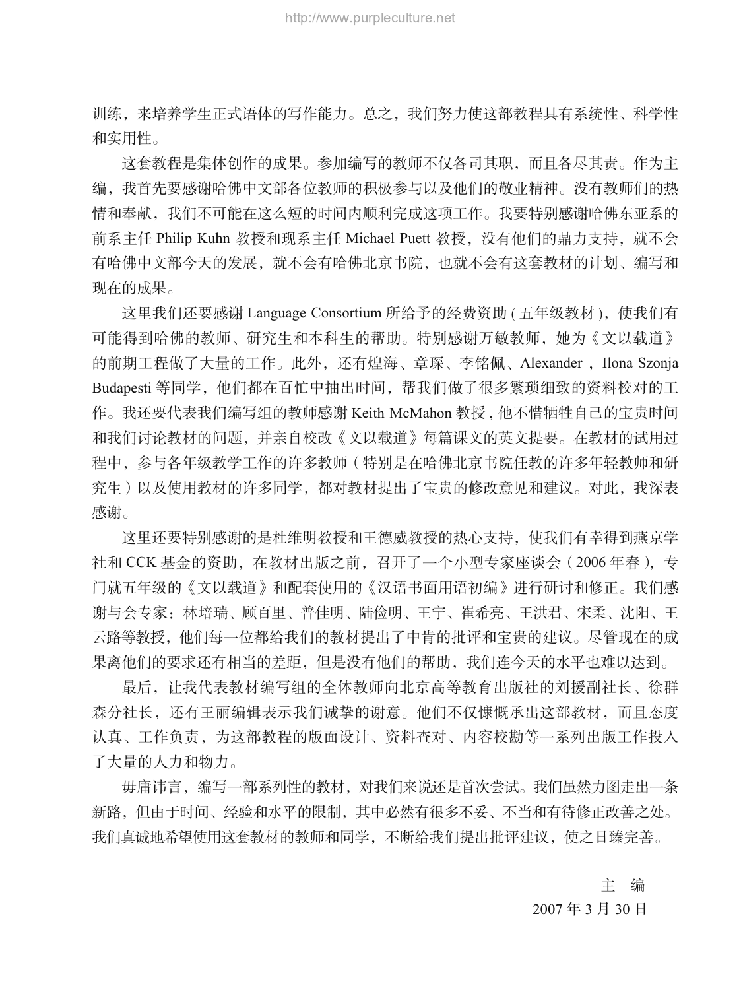训练,来培养学生正式语体的写作能力。总之,我们努力使这部教程具有系统性、科学性 和实用性。

这套教程是集体创作的成果。参加编写的教师不仅各司其职,而且各尽其责。作为主 编,我首先要感谢哈佛中文部各位教师的积极参与以及他们的敬业精神。没有教师们的热 情和奉献,我们不可能在这么短的时间内顺利完成这项工作。我要特别感谢哈佛东亚系的 前系主任 Philip Kuhn 教授和现系主任 Michael Puett 教授, 没有他们的鼎力支持, 就不会 有哈佛中文部今天的发展,就不会有哈佛北京书院,也就不会有这套教材的计划、编写和 现在的成果。

这里我们还要感谢 Language Consortium 所给予的经费资助 ( 五年级教材 ), 使我们有 可能得到哈佛的教师、研究生和本科生的帮助。特别感谢万敏教师,她为《文以载道》 的前期工程做了大量的工作。此外,还有煌海、章琛、李铭佩、Alexander, Ilona Szonja Budapesti 等同学,他们都在百忙中抽出时间,帮我们做了很多繁琐细致的资料校对的工 作。我还要代表我们编写组的教师感谢 Keith McMahon 教授 , 他不惜牺牲自己的宝贵时间 和我们讨论教材的问题,并亲自校改《文以载道》每篇课文的英文提要。在教材的试用过 程中,参与各年级教学工作的许多教师(特别是在哈佛北京书院任教的许多年轻教师和研 究生)以及使用教材的许多同学,都对教材提出了宝贵的修改意见和建议。对此,我深表 感谢。

这里还要特别感谢的是杜维明教授和王德威教授的热心支持,使我们有幸得到燕京学 社和 CCK 基金的资助,在教材出版之前,召开了一个小型专家座谈会(2006 年春),专 门就五年级的《文以载道》和配套使用的《汉语书面用语初编》进行研讨和修正。我们感 谢与会专家:林培瑞、顾百里、普佳明、陆俭明、王宁、崔希亮、王洪君、宋柔、沈阳、王 云路等教授,他们每一位都给我们的教材提出了中肯的批评和宝贵的建议。尽管现在的成 果离他们的要求还有相当的差距,但是没有他们的帮助,我们连今天的水平也难以达到。

最后,让我代表教材编写组的全体教师向北京高等教育出版社的刘援副社长、徐群 森分社长,还有王丽编辑表示我们诚挚的谢意。他们不仅慷慨承出这部教材,而且态度 认真、工作负责,为这部教程的版面设计、资料查对、内容校勘等一系列出版工作投入 了大量的人力和物力。

毋庸讳言,编写一部系列性的教材,对我们来说还是首次尝试。我们虽然力图走出一条 新路,但由于时间、经验和水平的限制,其中必然有很多不妥、不当和有待修正改善之处。 我们真诚地希望使用这套教材的教师和同学,不断给我们提出批评建议,使之日臻完善。

> 主 编 2007 年 3 月 30 日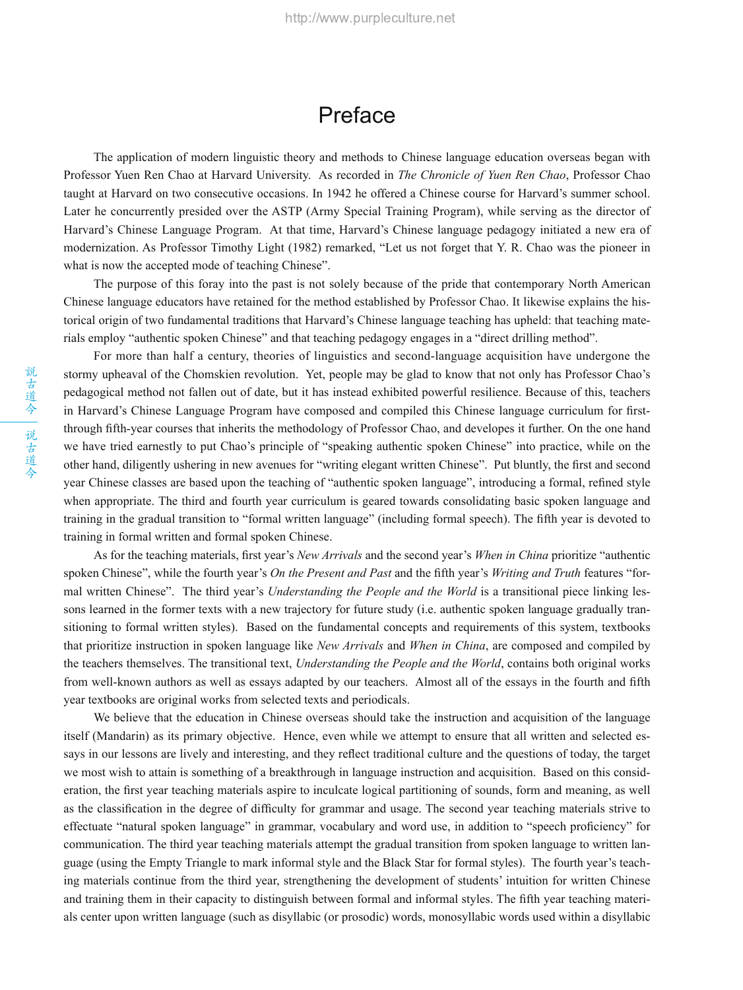#### Preface

The application of modern linguistic theory and methods to Chinese language education overseas began with Professor Yuen Ren Chao at Harvard University. As recorded in *The Chronicle of Yuen Ren Chao*, Professor Chao taught at Harvard on two consecutive occasions. In 1942 he offered a Chinese course for Harvard's summer school. Later he concurrently presided over the ASTP (Army Special Training Program), while serving as the director of Harvard's Chinese Language Program. At that time, Harvard's Chinese language pedagogy initiated a new era of modernization. As Professor Timothy Light (1982) remarked, "Let us not forget that Y. R. Chao was the pioneer in what is now the accepted mode of teaching Chinese".

The purpose of this foray into the past is not solely because of the pride that contemporary North American Chinese language educators have retained for the method established by Professor Chao. It likewise explains the historical origin of two fundamental traditions that Harvard's Chinese language teaching has upheld: that teaching materials employ "authentic spoken Chinese" and that teaching pedagogy engages in a "direct drilling method".

For more than half a century, theories of linguistics and second-language acquisition have undergone the stormy upheaval of the Chomskien revolution. Yet, people may be glad to know that not only has Professor Chao's pedagogical method not fallen out of date, but it has instead exhibited powerful resilience. Because of this, teachers in Harvard's Chinese Language Program have composed and compiled this Chinese language curriculum for firstthrough fifth-year courses that inherits the methodology of Professor Chao, and developes it further. On the one hand we have tried earnestly to put Chao's principle of "speaking authentic spoken Chinese" into practice, while on the other hand, diligently ushering in new avenues for "writing elegant written Chinese". Put bluntly, the first and second year Chinese classes are based upon the teaching of "authentic spoken language", introducing a formal, refined style when appropriate. The third and fourth year curriculum is geared towards consolidating basic spoken language and training in the gradual transition to "formal written language" (including formal speech). The fifth year is devoted to training in formal written and formal spoken Chinese.

As for the teaching materials, first year's *New Arrivals* and the second year's *When in China* prioritize "authentic spoken Chinese", while the fourth year's *On the Present and Past* and the fifth year's *Writing and Truth* features "formal written Chinese". The third year's *Understanding the People and the World* is a transitional piece linking lessons learned in the former texts with a new trajectory for future study (i.e. authentic spoken language gradually transitioning to formal written styles). Based on the fundamental concepts and requirements of this system, textbooks that prioritize instruction in spoken language like *New Arrivals* and *When in China*, are composed and compiled by the teachers themselves. The transitional text, *Understanding the People and the World*, contains both original works from well-known authors as well as essays adapted by our teachers. Almost all of the essays in the fourth and fifth year textbooks are original works from selected texts and periodicals.

We believe that the education in Chinese overseas should take the instruction and acquisition of the language itself (Mandarin) as its primary objective. Hence, even while we attempt to ensure that all written and selected essays in our lessons are lively and interesting, and they reflect traditional culture and the questions of today, the target we most wish to attain is something of a breakthrough in language instruction and acquisition. Based on this consideration, the first year teaching materials aspire to inculcate logical partitioning of sounds, form and meaning, as well as the classification in the degree of difficulty for grammar and usage. The second year teaching materials strive to effectuate "natural spoken language" in grammar, vocabulary and word use, in addition to "speech proficiency" for communication. The third year teaching materials attempt the gradual transition from spoken language to written language (using the Empty Triangle to mark informal style and the Black Star for formal styles). The fourth year's teaching materials continue from the third year, strengthening the development of students' intuition for written Chinese and training them in their capacity to distinguish between formal and informal styles. The fifth year teaching materials center upon written language (such as disyllabic (or prosodic) words, monosyllabic words used within a disyllabic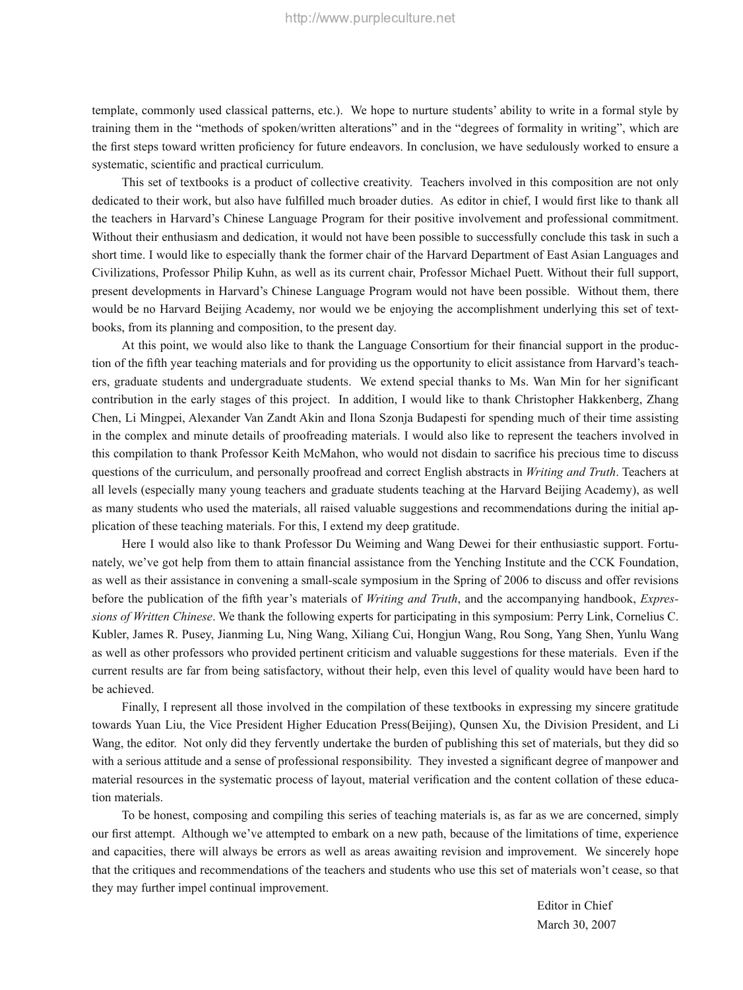template, commonly used classical patterns, etc.). We hope to nurture students' ability to write in a formal style by training them in the "methods of spoken/written alterations" and in the "degrees of formality in writing", which are the first steps toward written proficiency for future endeavors. In conclusion, we have sedulously worked to ensure a systematic, scientific and practical curriculum.

This set of textbooks is a product of collective creativity. Teachers involved in this composition are not only dedicated to their work, but also have fulfilled much broader duties. As editor in chief, I would first like to thank all the teachers in Harvard's Chinese Language Program for their positive involvement and professional commitment. Without their enthusiasm and dedication, it would not have been possible to successfully conclude this task in such a short time. I would like to especially thank the former chair of the Harvard Department of East Asian Languages and Civilizations, Professor Philip Kuhn, as well as its current chair, Professor Michael Puett. Without their full support, present developments in Harvard's Chinese Language Program would not have been possible. Without them, there would be no Harvard Beijing Academy, nor would we be enjoying the accomplishment underlying this set of textbooks, from its planning and composition, to the present day.

At this point, we would also like to thank the Language Consortium for their financial support in the production of the fifth year teaching materials and for providing us the opportunity to elicit assistance from Harvard's teachers, graduate students and undergraduate students. We extend special thanks to Ms. Wan Min for her significant contribution in the early stages of this project. In addition, I would like to thank Christopher Hakkenberg, Zhang Chen, Li Mingpei, Alexander Van Zandt Akin and Ilona Szonja Budapesti for spending much of their time assisting in the complex and minute details of proofreading materials. I would also like to represent the teachers involved in this compilation to thank Professor Keith McMahon, who would not disdain to sacrifice his precious time to discuss questions of the curriculum, and personally proofread and correct English abstracts in *Writing and Truth*. Teachers at all levels (especially many young teachers and graduate students teaching at the Harvard Beijing Academy), as well as many students who used the materials, all raised valuable suggestions and recommendations during the initial application of these teaching materials. For this, I extend my deep gratitude.

Here I would also like to thank Professor Du Weiming and Wang Dewei for their enthusiastic support. Fortunately, we've got help from them to attain financial assistance from the Yenching Institute and the CCK Foundation, as well as their assistance in convening a small-scale symposium in the Spring of 2006 to discuss and offer revisions before the publication of the fifth year's materials of *Writing and Truth*, and the accompanying handbook, *Expressions of Written Chinese*. We thank the following experts for participating in this symposium: Perry Link, Cornelius C. Kubler, James R. Pusey, Jianming Lu, Ning Wang, Xiliang Cui, Hongjun Wang, Rou Song, Yang Shen, Yunlu Wang as well as other professors who provided pertinent criticism and valuable suggestions for these materials. Even if the current results are far from being satisfactory, without their help, even this level of quality would have been hard to be achieved.

Finally, I represent all those involved in the compilation of these textbooks in expressing my sincere gratitude towards Yuan Liu, the Vice President Higher Education Press(Beijing), Qunsen Xu, the Division President, and Li Wang, the editor. Not only did they fervently undertake the burden of publishing this set of materials, but they did so with a serious attitude and a sense of professional responsibility. They invested a significant degree of manpower and material resources in the systematic process of layout, material verification and the content collation of these education materials.

To be honest, composing and compiling this series of teaching materials is, as far as we are concerned, simply our first attempt. Although we've attempted to embark on a new path, because of the limitations of time, experience and capacities, there will always be errors as well as areas awaiting revision and improvement. We sincerely hope that the critiques and recommendations of the teachers and students who use this set of materials won't cease, so that they may further impel continual improvement.

> Editor in Chief March 30, 2007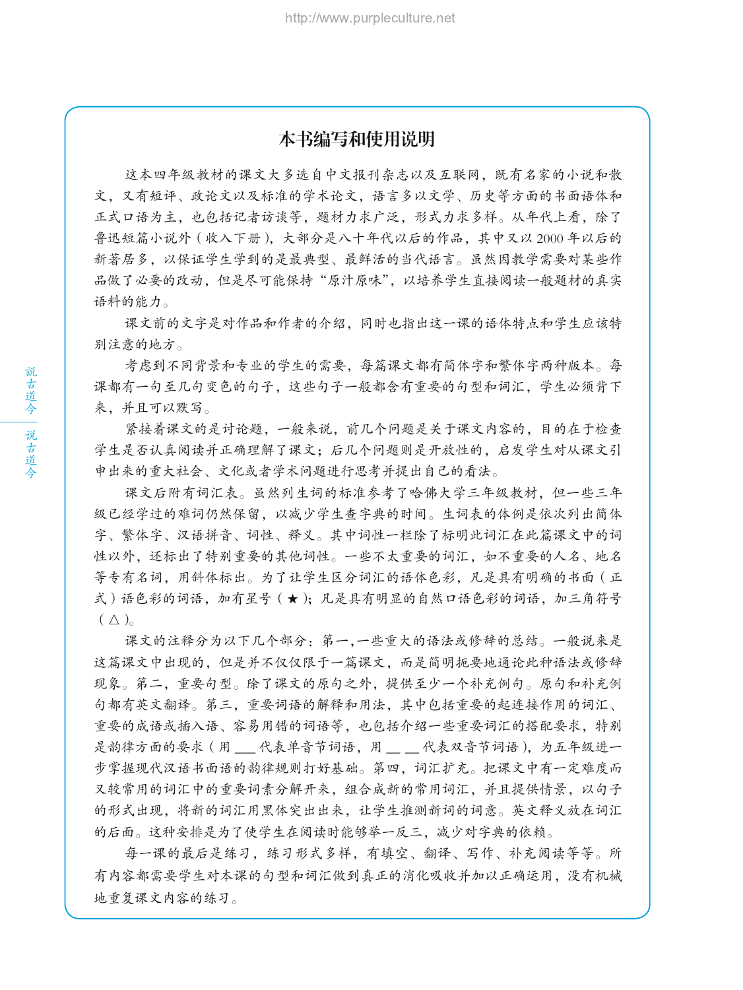#### 本书编写和使用说明

这本四年级教材的课文大多选自中文报刊杂志以及互联网,既有名家的小说和散 文,又有短评、政论文以及标准的学术论文,语言多以文学、历史等方面的书面语体和 正式口语为主,也包括记者访谈等,题材力求广泛,形式力求多样。从年代上看,除了 鲁迅短篇小说外(收入下册),大部分是八十年代以后的作品,其中又以 2000 年以后的 新著居多,以保证学生学到的是最典型、最鲜活的当代语言。虽然因教学需要对某些作 品做了必要的改动,但是尽可能保持"原汁原味",以培养学生直接阅读一般题材的真实 语料的能力。

课文前的文字是对作品和作者的介绍,同时也指出这一课的语体特点和学生应该特 别注意的地方。

考虑到不同背景和专业的学生的需要,每篇课文都有简体字和繁体字两种版本。每 课都有一句至几句变色的句子,这些句子一般都含有重要的句型和词汇,学生必须背下 来,并且可以默写。

紧接着课文的是讨论题,一般来说,前几个问题是关于课文内容的,目的在于检查 学生是否认真阅读并正确理解了课文;后几个问题则是开放性的,启发学生对从课文引 申出来的重大社会、文化或者学术问题进行思考并提出自己的看法。

课文后附有词汇表。虽然列生词的标准参考了哈佛大学三年级教材,但一些三年 级已经学过的难词仍然保留,以减少学生查字典的时间。生词表的体例是依次列出简体 字、繁体字、汉语拼音、词性、释义。其中词性一栏除了标明此词汇在此篇课文中的词 性以外,还标出了特别重要的其他词性。一些不太重要的词汇,如不重要的人名、地名 等专有名词,用斜体标出。为了让学生区分词汇的语体色彩,凡是具有明确的书面(正 式)语色彩的词语,加有星号(★);凡是具有明显的自然口语色彩的词语,加三角符号  $(\triangle)_{\circ}$ 

课文的注释分为以下几个部分:第一,一些重大的语法或修辞的总结。一般说来是 这篇课文中出现的,但是并不仅仅限于一篇课文,而是简明扼要地通论此种语法或修辞 现象。第二,重要句型。除了课文的原句之外,提供至少一个补充例句。原句和补充例 句都有英文翻译。第三,重要词语的解释和用法,其中包括重要的起连接作用的词汇、 重要的成语或插入语、容易用错的词语等,也包括介绍一些重要词汇的搭配要求,特别 是韵律方面的要求(用 \_\_ 代表单音节词语,用 \_ \_ 代表双音节词语), 为五年级进一 步掌握现代汉语书面语的韵律规则打好基础。第四,词汇扩充。把课文中有一定难度而 又较常用的词汇中的重要词素分解开来,组合成新的常用词汇,并且提供情景,以句子 的形式出现,将新的词汇用黑体突出出来,让学生推测新词的词意。英文释义放在词汇 的后面。这种安排是为了使学生在阅读时能够举一反三,减少对字典的依赖。

每一课的最后是练习,练习形式多样,有填空、翻译、写作、补充阅读等等。所 有内容都需要学生对本课的句型和词汇做到真正的消化吸收并加以正确运用,没有机械 地重复课文内容的练习。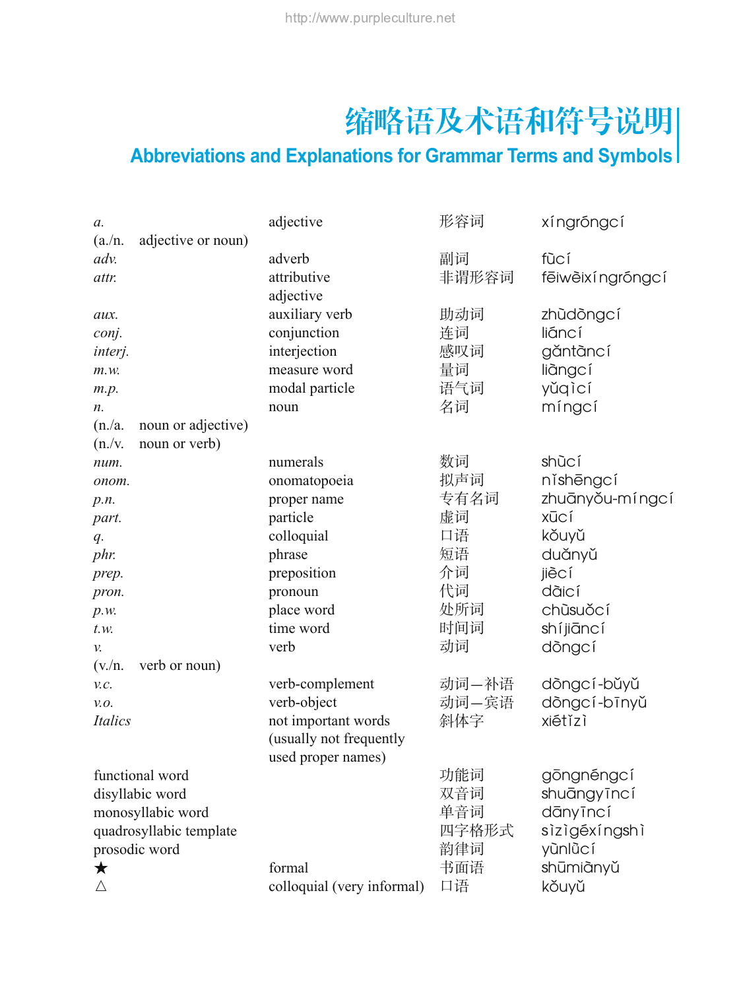# 缩略语及术语和符号说明

## **Abbreviations and Explanations for Grammar Terms and Symbols**

| а.                      |                    | adjective                  | 形容词   | xíngróngcí        |
|-------------------------|--------------------|----------------------------|-------|-------------------|
| $(a/\mathrm{n})$ .      | adjective or noun) |                            |       |                   |
| adv.                    |                    | adverb                     | 副词    | fūcí              |
| attr.                   |                    | attributive                | 非谓形容词 | fēiwèixí ngróngcí |
|                         |                    | adjective                  |       |                   |
| aux.                    |                    | auxiliary verb             | 助动词   | zhùdòngcí         |
| conj.                   |                    | conjunction                | 连词    | liáncí            |
| interj.                 |                    | interjection               | 感叹词   | găntàncí          |
| m.w.                    |                    | measure word               | 量词    | liàngcí           |
| m.p.                    |                    | modal particle             | 语气词   | yǔqìcí            |
| n.                      |                    | noun                       | 名词    | míngcí            |
| (n./a)                  | noun or adjective) |                            |       |                   |
| (n./v)                  | noun or verb)      |                            |       |                   |
| num.                    |                    | numerals                   | 数词    | shùcí             |
| onom.                   |                    | onomatopoeia               | 拟声词   | níshēngcí         |
| p.n.                    |                    | proper name                | 专有名词  | zhuānyǒu-míngcí   |
| part.                   |                    | particle                   | 虚词    | <b>X</b> ūcí      |
| $q$ .                   |                    | colloquial                 | 口语    | kǒuyǔ             |
| phr.                    |                    | phrase                     | 短语    | duǎnyǔ            |
| prep.                   |                    | preposition                | 介词    | jiècí             |
| pron.                   |                    | pronoun                    | 代词    | dàicí             |
| p.w.                    |                    | place word                 | 处所词   | chùsuǒcí          |
| $t w$ .                 |                    | time word                  | 时间词   | shíjiāncí         |
| v.                      |                    | verb                       | 动词    | dòngcí            |
| $(v/\text{n})$ .        | verb or noun)      |                            |       |                   |
| V.C.                    |                    | verb-complement            | 动词—补语 | dòngcí-bǔyǔ       |
| V.O.                    |                    | verb-object                | 动词-宾语 | dòngcí-bīnyǔ      |
| <b>Italics</b>          |                    | not important words        | 斜体字   | xiétǐzì           |
|                         |                    | (usually not frequently    |       |                   |
|                         |                    | used proper names)         |       |                   |
| functional word         |                    |                            | 功能词   | gōngnéngcí        |
| disyllabic word         |                    |                            | 双音词   | shuāngyīncí       |
| monosyllabic word       |                    |                            | 单音词   | dānyīncí          |
| quadrosyllabic template |                    |                            | 四字格形式 | sizigéxíngshi     |
| prosodic word           |                    |                            | 韵律词   | yùnlùcí           |
| $\bigstar$              |                    | formal                     | 书面语   | shūmiànyǔ         |
| $\triangle$             |                    | colloquial (very informal) | 口语    | kǒuyǔ             |